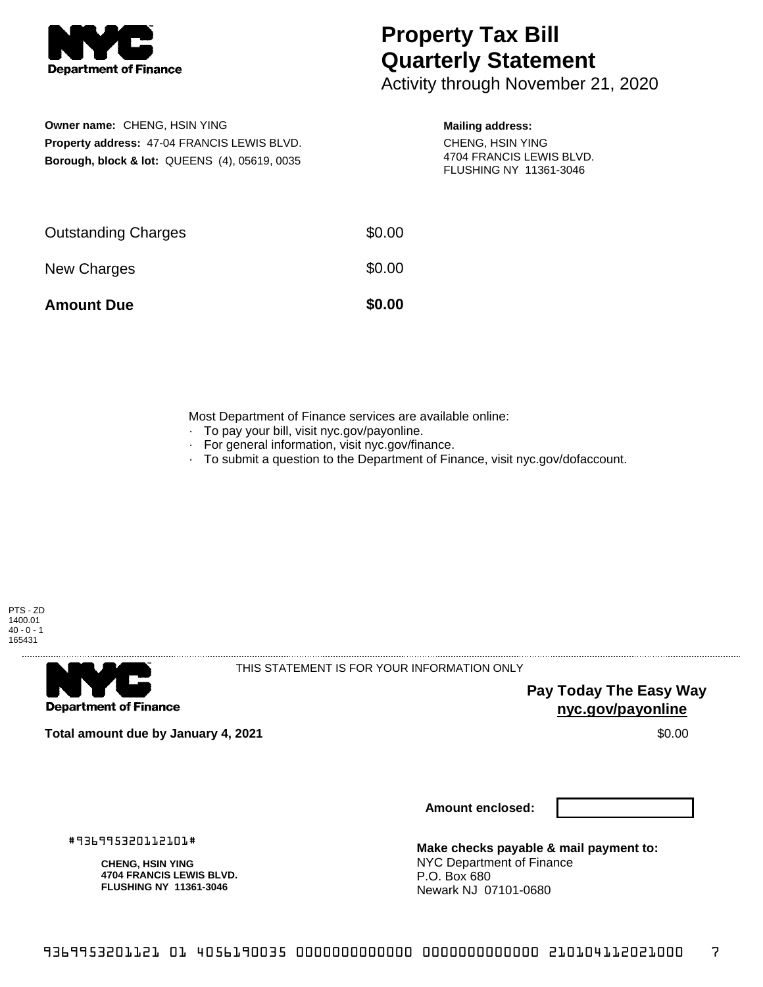

# **Property Tax Bill Quarterly Statement**

Activity through November 21, 2020

## **Owner name:** CHENG, HSIN YING **Property address:** 47-04 FRANCIS LEWIS BLVD. **Borough, block & lot:** QUEENS (4), 05619, 0035

### **Mailing address:**

CHENG, HSIN YING 4704 FRANCIS LEWIS BLVD. FLUSHING NY 11361-3046

| <b>Amount Due</b>          | \$0.00 |
|----------------------------|--------|
| New Charges                | \$0.00 |
| <b>Outstanding Charges</b> | \$0.00 |

Most Department of Finance services are available online:

- · To pay your bill, visit nyc.gov/payonline.
- For general information, visit nyc.gov/finance.
- · To submit a question to the Department of Finance, visit nyc.gov/dofaccount.





THIS STATEMENT IS FOR YOUR INFORMATION ONLY

**Pay Today The Easy Way nyc.gov/payonline**

**Total amount due by January 4, 2021** \$0.00

**Amount enclosed:**

#936995320112101#

**CHENG, HSIN YING 4704 FRANCIS LEWIS BLVD. FLUSHING NY 11361-3046**

**Make checks payable & mail payment to:** NYC Department of Finance P.O. Box 680 Newark NJ 07101-0680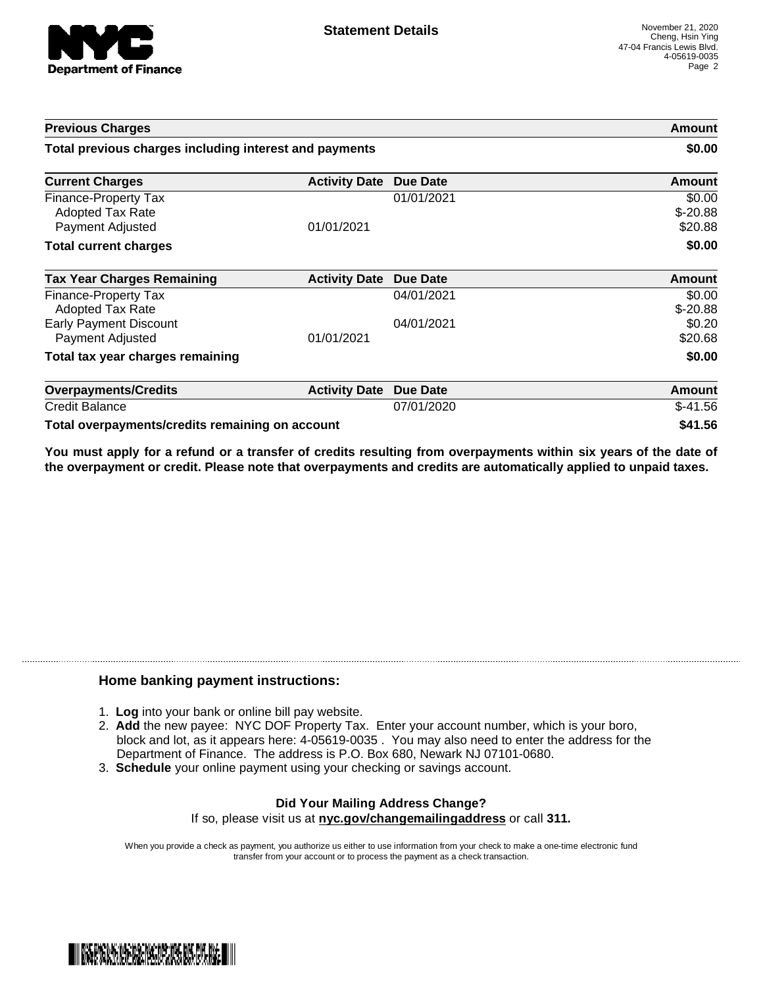

| <b>Previous Charges</b>                                             |                      |                 | Amount                         |
|---------------------------------------------------------------------|----------------------|-----------------|--------------------------------|
| Total previous charges including interest and payments              |                      |                 | \$0.00                         |
| <b>Current Charges</b>                                              | <b>Activity Date</b> | <b>Due Date</b> | Amount                         |
| Finance-Property Tax<br><b>Adopted Tax Rate</b><br>Payment Adjusted | 01/01/2021           | 01/01/2021      | \$0.00<br>$$-20.88$<br>\$20.88 |
| <b>Total current charges</b>                                        |                      |                 | \$0.00                         |
| <b>Tax Year Charges Remaining</b>                                   | <b>Activity Date</b> | Due Date        | <b>Amount</b>                  |
| Finance-Property Tax<br><b>Adopted Tax Rate</b>                     |                      | 04/01/2021      | \$0.00<br>$$-20.88$            |
| <b>Early Payment Discount</b><br>Payment Adjusted                   | 01/01/2021           | 04/01/2021      | \$0.20<br>\$20.68              |
| Total tax year charges remaining                                    |                      |                 | \$0.00                         |
| <b>Overpayments/Credits</b>                                         | <b>Activity Date</b> | <b>Due Date</b> | Amount                         |
| <b>Credit Balance</b>                                               |                      | 07/01/2020      | $$-41.56$                      |
| Total overpayments/credits remaining on account                     |                      |                 | \$41.56                        |

You must apply for a refund or a transfer of credits resulting from overpayments within six years of the date of **the overpayment or credit. Please note that overpayments and credits are automatically applied to unpaid taxes.**

#### **Home banking payment instructions:**

- 1. **Log** into your bank or online bill pay website.
- 2. **Add** the new payee: NYC DOF Property Tax. Enter your account number, which is your boro, block and lot, as it appears here: 4-05619-0035 . You may also need to enter the address for the Department of Finance. The address is P.O. Box 680, Newark NJ 07101-0680.
- 3. **Schedule** your online payment using your checking or savings account.

#### **Did Your Mailing Address Change?** If so, please visit us at **nyc.gov/changemailingaddress** or call **311.**

When you provide a check as payment, you authorize us either to use information from your check to make a one-time electronic fund transfer from your account or to process the payment as a check transaction.